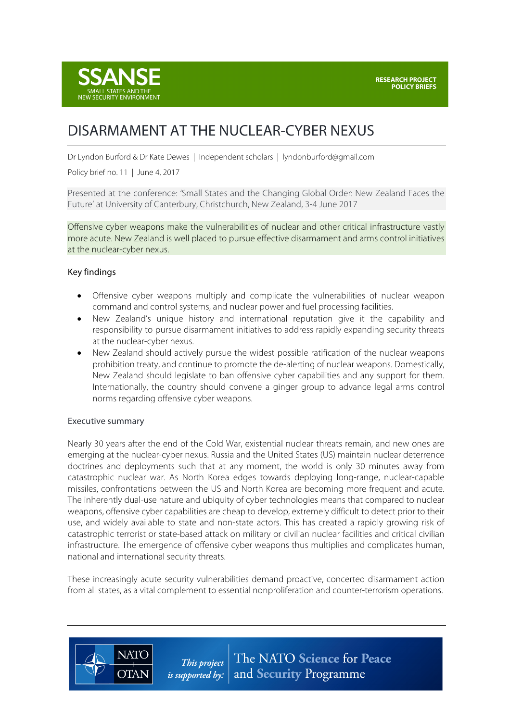

# DISARMAMENT AT THE NUCLEAR-CYBER NEXUS

Dr Lyndon Burford & Dr Kate Dewes | Independent scholars | lyndonburford@gmail.com

Policy brief no. 11 | June 4, 2017

Presented at the conference: 'Small States and the Changing Global Order: New Zealand Faces the Future' at University of Canterbury, Christchurch, New Zealand, 3-4 June 2017

Offensive cyber weapons make the vulnerabilities of nuclear and other critical infrastructure vastly more acute. New Zealand is well placed to pursue effective disarmament and arms control initiatives at the nuclear-cyber nexus.

#### Key findings

- Offensive cyber weapons multiply and complicate the vulnerabilities of nuclear weapon command and control systems, and nuclear power and fuel processing facilities.
- New Zealand's unique history and international reputation give it the capability and responsibility to pursue disarmament initiatives to address rapidly expanding security threats at the nuclear-cyber nexus.
- New Zealand should actively pursue the widest possible ratification of the nuclear weapons prohibition treaty, and continue to promote the de-alerting of nuclear weapons. Domestically, New Zealand should legislate to ban offensive cyber capabilities and any support for them. Internationally, the country should convene a ginger group to advance legal arms control norms regarding offensive cyber weapons.

#### Executive summary

**NATO** 

**OTAN** 

Nearly 30 years after the end of the Cold War, existential nuclear threats remain, and new ones are emerging at the nuclear-cyber nexus. Russia and the United States (US) maintain nuclear deterrence doctrines and deployments such that at any moment, the world is only 30 minutes away from catastrophic nuclear war. As North Korea edges towards deploying long-range, nuclear-capable missiles, confrontations between the US and North Korea are becoming more frequent and acute. The inherently dual-use nature and ubiquity of cyber technologies means that compared to nuclear weapons, offensive cyber capabilities are cheap to develop, extremely difficult to detect prior to their use, and widely available to state and non-state actors. This has created a rapidly growing risk of catastrophic terrorist or state-based attack on military or civilian nuclear facilities and critical civilian infrastructure. The emergence of offensive cyber weapons thus multiplies and complicates human, national and international security threats.

These increasingly acute security vulnerabilities demand proactive, concerted disarmament action from all states, as a vital complement to essential nonproliferation and counter-terrorism operations.

> The NATO Science for Peace This project *is supported by:*  $\vert$  and **Security** Programme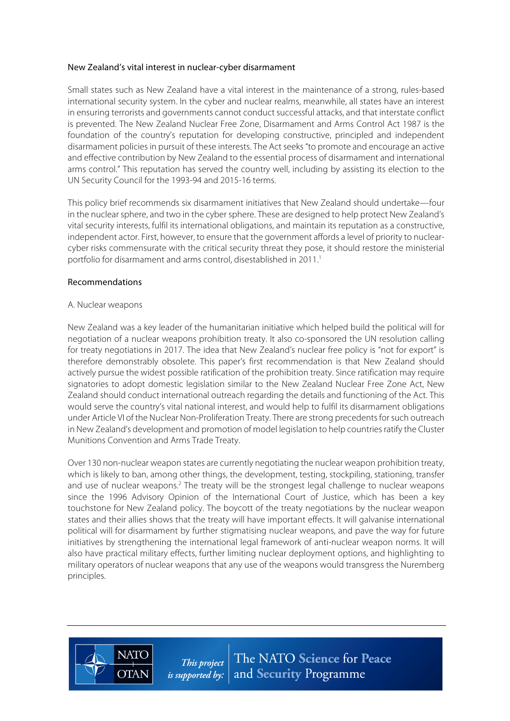#### New Zealand's vital interest in nuclear-cyber disarmament

Small states such as New Zealand have a vital interest in the maintenance of a strong, rules-based international security system. In the cyber and nuclear realms, meanwhile, all states have an interest in ensuring terrorists and governments cannot conduct successful attacks, and that interstate conflict is prevented. The New Zealand Nuclear Free Zone, Disarmament and Arms Control Act 1987 is the foundation of the country's reputation for developing constructive, principled and independent disarmament policies in pursuit of these interests. The Act seeks "to promote and encourage an active and effective contribution by New Zealand to the essential process of disarmament and international arms control." This reputation has served the country well, including by assisting its election to the UN Security Council for the 1993-94 and 2015-16 terms.

This policy brief recommends six disarmament initiatives that New Zealand should undertake—four in the nuclear sphere, and two in the cyber sphere. These are designed to help protect New Zealand's vital security interests, fulfil its international obligations, and maintain its reputation as a constructive, independent actor. First, however, to ensure that the government affords a level of priority to nuclearcyber risks commensurate with the critical security threat they pose, it should restore the ministerial portfolio for disarmament and arms control, disestablished in 2011.<sup>1</sup>

#### Recommendations

#### A. Nuclear weapons

**NATO** 

**OTAN** 

New Zealand was a key leader of the humanitarian initiative which helped build the political will for negotiation of a nuclear weapons prohibition treaty. It also co-sponsored the UN resolution calling for treaty negotiations in 2017. The idea that New Zealand's nuclear free policy is "not for export" is therefore demonstrably obsolete. This paper's first recommendation is that New Zealand should actively pursue the widest possible ratification of the prohibition treaty. Since ratification may require signatories to adopt domestic legislation similar to the New Zealand Nuclear Free Zone Act, New Zealand should conduct international outreach regarding the details and functioning of the Act. This would serve the country's vital national interest, and would help to fulfil its disarmament obligations under Article VI of the Nuclear Non-Proliferation Treaty. There are strong precedents for such outreach in New Zealand's development and promotion of model legislation to help countries ratify the Cluster Munitions Convention and Arms Trade Treaty.

Over 130 non-nuclear weapon states are currently negotiating the nuclear weapon prohibition treaty, which is likely to ban, among other things, the development, testing, stockpiling, stationing, transfer and use of nuclear weapons.<sup>2</sup> The treaty will be the strongest legal challenge to nuclear weapons since the 1996 Advisory Opinion of the International Court of Justice, which has been a key touchstone for New Zealand policy. The boycott of the treaty negotiations by the nuclear weapon states and their allies shows that the treaty will have important effects. It will galvanise international political will for disarmament by further stigmatising nuclear weapons, and pave the way for future initiatives by strengthening the international legal framework of anti-nuclear weapon norms. It will also have practical military effects, further limiting nuclear deployment options, and highlighting to military operators of nuclear weapons that any use of the weapons would transgress the Nuremberg principles.

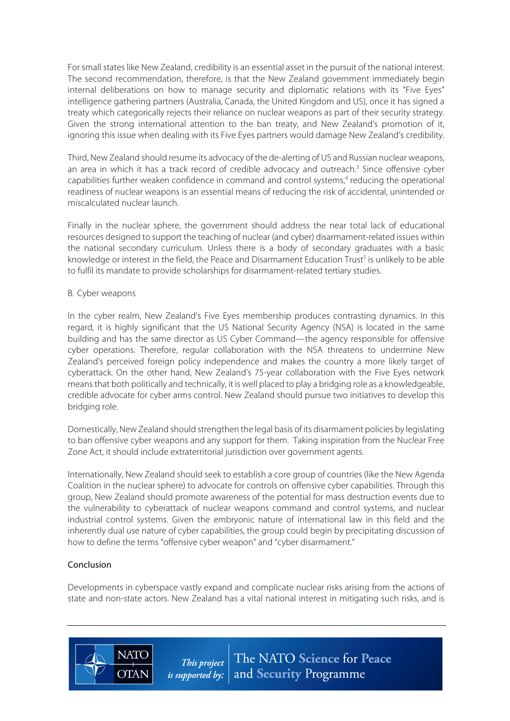For small states like New Zealand, credibility is an essential asset in the pursuit of the national interest. The second recommendation, therefore, is that the New Zealand government immediately begin internal deliberations on how to manage security and diplomatic relations with its "Five Eyes" intelligence gathering partners (Australia, Canada, the United Kingdom and US), once it has signed a treaty which categorically rejects their reliance on nuclear weapons as part of their security strategy. Given the strong international attention to the ban treaty, and New Zealand's promotion of it, ignoring this issue when dealing with its Five Eyes partners would damage New Zealand's credibility.

Third, New Zealand should resume its advocacy of the de-alerting of US and Russian nuclear weapons, an area in which it has a track record of credible advocacy and outreach.<sup>3</sup> Since offensive cyber capabilities further weaken confidence in command and control systems,<sup>4</sup> reducing the operational readiness of nuclear weapons is an essential means of reducing the risk of accidental, unintended or miscalculated nuclear launch.

Finally in the nuclear sphere, the government should address the near total lack of educational resources designed to support the teaching of nuclear (and cyber) disarmament-related issues within the national secondary curriculum. Unless there is a body of secondary graduates with a basic knowledge or interest in the field, the Peace and Disarmament Education Trust<sup>5</sup> is unlikely to be able to fulfil its mandate to provide scholarships for disarmament-related tertiary studies.

### B. Cyber weapons

In the cyber realm, New Zealand's Five Eyes membership produces contrasting dynamics. In this regard, it is highly significant that the US National Security Agency (NSA) is located in the same building and has the same director as US Cyber Command—the agency responsible for offensive cyber operations. Therefore, regular collaboration with the NSA threatens to undermine New Zealand's perceived foreign policy independence and makes the country a more likely target of cyberattack. On the other hand, New Zealand's 75-year collaboration with the Five Eyes network meansthat both politically and technically, it is well placed to play a bridging role as a knowledgeable, credible advocate for cyber arms control. New Zealand should pursue two initiatives to develop this bridging role.

Domestically, New Zealand should strengthen the legal basis of its disarmament policies by legislating to ban offensive cyber weapons and any support for them. Taking inspiration from the Nuclear Free Zone Act, it should include extraterritorial jurisdiction over government agents.

Internationally, New Zealand should seek to establish a core group of countries (like the New Agenda Coalition in the nuclear sphere) to advocate for controls on offensive cyber capabilities. Through this group, New Zealand should promote awareness of the potential for mass destruction events due to the vulnerability to cyberattack of nuclear weapons command and control systems, and nuclear industrial control systems. Given the embryonic nature of international law in this field and the inherently dual use nature of cyber capabilities, the group could begin by precipitating discussion of how to define the terms "offensive cyber weapon" and "cyber disarmament."

## Conclusion

**NATO** 

**OTAN** 

Developments in cyberspace vastly expand and complicate nuclear risks arising from the actions of state and non-state actors. New Zealand has a vital national interest in mitigating such risks, and is

> The NATO Science for Peace This project *is supported by:*  $|$  and **Security** Programme